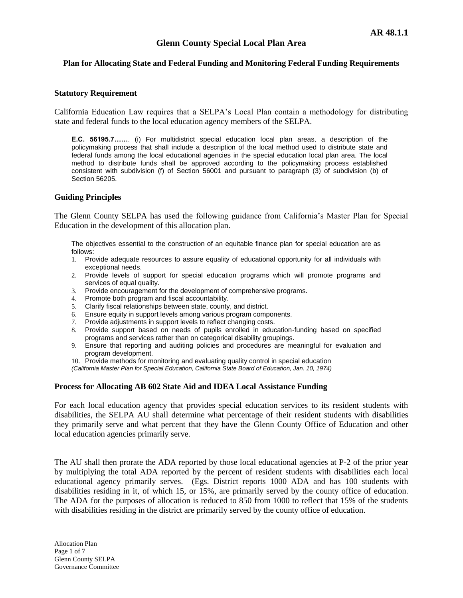# **Glenn County Special Local Plan Area**

## **Plan for Allocating State and Federal Funding and Monitoring Federal Funding Requirements**

#### **Statutory Requirement**

California Education Law requires that a SELPA's Local Plan contain a methodology for distributing state and federal funds to the local education agency members of the SELPA.

**E.C. 56195.7……**. (i) For multidistrict special education local plan areas, a description of the policymaking process that shall include a description of the local method used to distribute state and federal funds among the local educational agencies in the special education local plan area. The local method to distribute funds shall be approved according to the policymaking process established consistent with subdivision (f) of Section 56001 and pursuant to paragraph (3) of subdivision (b) of Section 56205.

### **Guiding Principles**

The Glenn County SELPA has used the following guidance from California's Master Plan for Special Education in the development of this allocation plan.

The objectives essential to the construction of an equitable finance plan for special education are as follows:

- 1. Provide adequate resources to assure equality of educational opportunity for all individuals with exceptional needs.
- 2. Provide levels of support for special education programs which will promote programs and services of equal quality.
- Provide encouragement for the development of comprehensive programs. 3. Provide encouragement for the development of 4. Promote both program and fiscal accountability.
- 
- 5. Clarify fiscal relationships between state, county, and district.
- 6. Ensure equity in support levels among various program components.<br>7. Provide adjustments in support levels to reflect changing costs.
- Provide adjustments in support levels to reflect changing costs.
- 8. Provide support based on needs of pupils enrolled in education-funding based on specified programs and services rather than on categorical disability groupings.
- 9. Ensure that reporting and auditing policies and procedures are meaningful for evaluation and program development.

10. Provide methods for monitoring and evaluating quality control in special education

*(California Master Plan for Special Education, California State Board of Education, Jan. 10, 1974)*

### **Process for Allocating AB 602 State Aid and IDEA Local Assistance Funding**

For each local education agency that provides special education services to its resident students with disabilities, the SELPA AU shall determine what percentage of their resident students with disabilities they primarily serve and what percent that they have the Glenn County Office of Education and other local education agencies primarily serve.

The AU shall then prorate the ADA reported by those local educational agencies at P-2 of the prior year by multiplying the total ADA reported by the percent of resident students with disabilities each local educational agency primarily serves. (Egs. District reports 1000 ADA and has 100 students with disabilities residing in it, of which 15, or 15%, are primarily served by the county office of education. The ADA for the purposes of allocation is reduced to 850 from 1000 to reflect that 15% of the students with disabilities residing in the district are primarily served by the county office of education.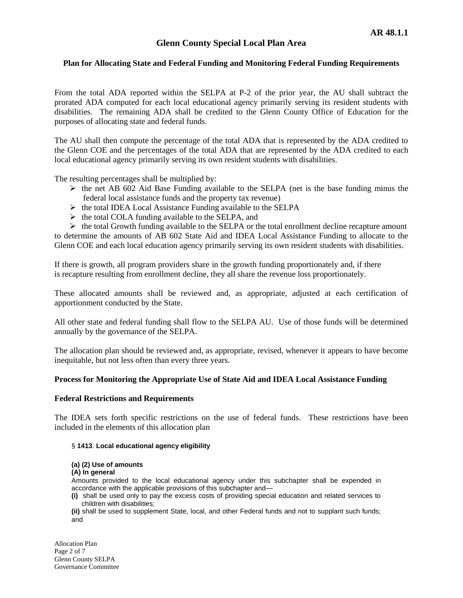# **Glenn County Special Local Plan Area**

### **Plan for Allocating State and Federal Funding and Monitoring Federal Funding Requirements**

From the total ADA reported within the SELPA at P-2 of the prior year, the AU shall subtract the prorated ADA computed for each local educational agency primarily serving its resident students with disabilities. The remaining ADA shall be credited to the Glenn County Office of Education for the purposes of allocating state and federal funds.

The AU shall then compute the percentage of the total ADA that is represented by the ADA credited to the Glenn COE and the percentages of the total ADA that are represented by the ADA credited to each local educational agency primarily serving its own resident students with disabilities.

The resulting percentages shall be multiplied by:

- $\triangleright$  the net AB 602 Aid Base Funding available to the SELPA (net is the base funding minus the federal local assistance funds and the property tax revenue)
- $\triangleright$  the total IDEA Local Assistance Funding available to the SELPA
- $\triangleright$  the total COLA funding available to the SELPA, and

 $\triangleright$  the total Growth funding available to the SELPA or the total enrollment decline recapture amount to determine the amounts of AB 602 State Aid and IDEA Local Assistance Funding to allocate to the Glenn COE and each local education agency primarily serving its own resident students with disabilities.

If there is growth, all program providers share in the growth funding proportionately and, if there is recapture resulting from enrollment decline, they all share the revenue loss proportionately.

These allocated amounts shall be reviewed and, as appropriate, adjusted at each certification of apportionment conducted by the State.

All other state and federal funding shall flow to the SELPA AU. Use of those funds will be determined annually by the governance of the SELPA.

The allocation plan should be reviewed and, as appropriate, revised, whenever it appears to have become inequitable, but not less often than every three years.

### **Process for Monitoring the Appropriate Use of State Aid and IDEA Local Assistance Funding**

### **Federal Restrictions and Requirements**

The IDEA sets forth specific restrictions on the use of federal funds. These restrictions have been included in the elements of this allocation plan

#### § **1413**. **Local educational agency eligibility**

#### **(a) (2) Use of amounts**

**(A) In general** 

Amounts provided to the local educational agency under this subchapter shall be expended in accordance with the applicable provisions of this subchapter and—

**(i)** shall be used only to pay the excess costs of providing special education and related services to children with disabilities;

**(ii)** shall be used to supplement State, local, and other Federal funds and not to supplant such funds; and

Allocation Plan Page 2 of 7 Glenn County SELPA Governance Committee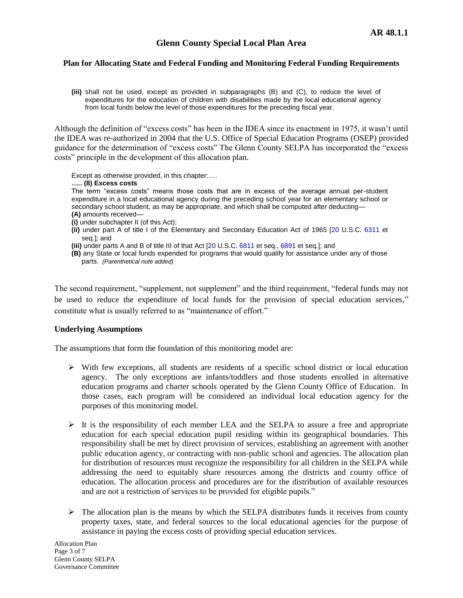**(iii)** shall not be used, except as provided in subparagraphs (B) and (C), to reduce the level of expenditures for the education of children with disabilities made by the local educational agency from local funds below the level of those expenditures for the preceding fiscal year.

Although the definition of "excess costs" has been in the IDEA since its enactment in 1975, it wasn't until the IDEA was re-authorized in 2004 that the U.S. Office of Special Education Programs (OSEP) provided guidance for the determination of "excess costs" The Glenn County SELPA has incorporated the "excess costs" principle in the development of this allocation plan.

Except as otherwise provided, in this chapter:….

**….. (8) Excess costs** 

The term "excess costs" means those costs that are in excess of the average annual per-student expenditure in a local educational agency during the preceding school year for an elementary school or secondary school student, as may be appropriate, and which shall be computed after deducting—

- **(A)** amounts received—
- **(i)** under subchapter II (of this Act);
- **(ii)** under part A of title I of the Elementary and Secondary Education Act of 1965 [\[20](http://www.law.cornell.edu/uscode/html/uscode20/usc_sup_01_20.html) U.S.C. [6311](http://www.law.cornell.edu/uscode/html/uscode20/usc_sec_20_00006311----000-.html) et seq.]; and
- **(iii)** under parts A and B of title III of that Act [\[20](http://www.law.cornell.edu/uscode/html/uscode20/usc_sup_01_20.html) U.S.C[. 6811](http://www.law.cornell.edu/uscode/html/uscode20/usc_sec_20_00006811----000-.html) et seq., [6891](http://www.law.cornell.edu/uscode/html/uscode20/usc_sec_20_00006891----000-.html) et seq.]; and
- **(B)** any State or local funds expended for programs that would qualify for assistance under any of those parts. *(Parenthetical note added)*

The second requirement, "supplement, not supplement" and the third requirement, "federal funds may not be used to reduce the expenditure of local funds for the provision of special education services," constitute what is usually referred to as "maintenance of effort."

### **Underlying Assumptions**

The assumptions that form the foundation of this monitoring model are:

- $\triangleright$  With few exceptions, all students are residents of a specific school district or local education agency. The only exceptions are infants/toddlers and those students enrolled in alternative education programs and charter schools operated by the Glenn County Office of Education. In those cases, each program will be considered an individual local education agency for the purposes of this monitoring model.
- $\triangleright$  It is the responsibility of each member LEA and the SELPA to assure a free and appropriate education for each special education pupil residing within its geographical boundaries. This responsibility shall be met by direct provision of services, establishing an agreement with another public education agency, or contracting with non-public school and agencies. The allocation plan for distribution of resources must recognize the responsibility for all children in the SELPA while addressing the need to equitably share resources among the districts and county office of education. The allocation process and procedures are for the distribution of available resources and are not a restriction of services to be provided for eligible pupils."
- $\triangleright$  The allocation plan is the means by which the SELPA distributes funds it receives from county property taxes, state, and federal sources to the local educational agencies for the purpose of assistance in paying the excess costs of providing special education services.

Allocation Plan Page 3 of 7 Glenn County SELPA Governance Committee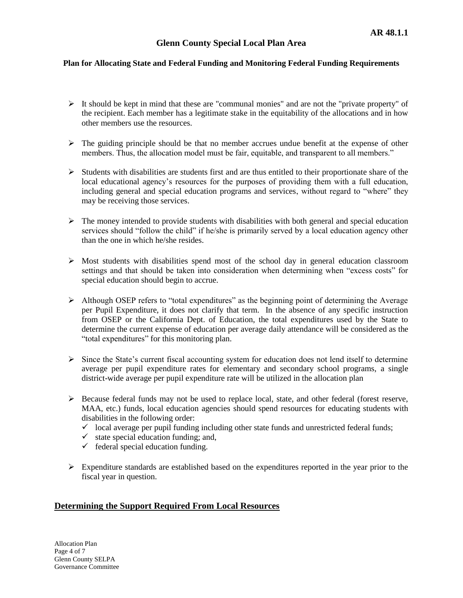- $\triangleright$  It should be kept in mind that these are "communal monies" and are not the "private property" of the recipient. Each member has a legitimate stake in the equitability of the allocations and in how other members use the resources.
- $\triangleright$  The guiding principle should be that no member accrues undue benefit at the expense of other members. Thus, the allocation model must be fair, equitable, and transparent to all members."
- $\triangleright$  Students with disabilities are students first and are thus entitled to their proportionate share of the local educational agency's resources for the purposes of providing them with a full education, including general and special education programs and services, without regard to "where" they may be receiving those services.
- $\triangleright$  The money intended to provide students with disabilities with both general and special education services should "follow the child" if he/she is primarily served by a local education agency other than the one in which he/she resides.
- $\triangleright$  Most students with disabilities spend most of the school day in general education classroom settings and that should be taken into consideration when determining when "excess costs" for special education should begin to accrue.
- $\triangleright$  Although OSEP refers to "total expenditures" as the beginning point of determining the Average per Pupil Expenditure, it does not clarify that term. In the absence of any specific instruction from OSEP or the California Dept. of Education, the total expenditures used by the State to determine the current expense of education per average daily attendance will be considered as the "total expenditures" for this monitoring plan.
- $\triangleright$  Since the State's current fiscal accounting system for education does not lend itself to determine average per pupil expenditure rates for elementary and secondary school programs, a single district-wide average per pupil expenditure rate will be utilized in the allocation plan
- $\triangleright$  Because federal funds may not be used to replace local, state, and other federal (forest reserve, MAA, etc.) funds, local education agencies should spend resources for educating students with disabilities in the following order:
	- $\checkmark$  local average per pupil funding including other state funds and unrestricted federal funds;
	- $\checkmark$  state special education funding; and,
	- $\checkmark$  federal special education funding.
- $\triangleright$  Expenditure standards are established based on the expenditures reported in the year prior to the fiscal year in question.

# **Determining the Support Required From Local Resources**

Allocation Plan Page 4 of 7 Glenn County SELPA Governance Committee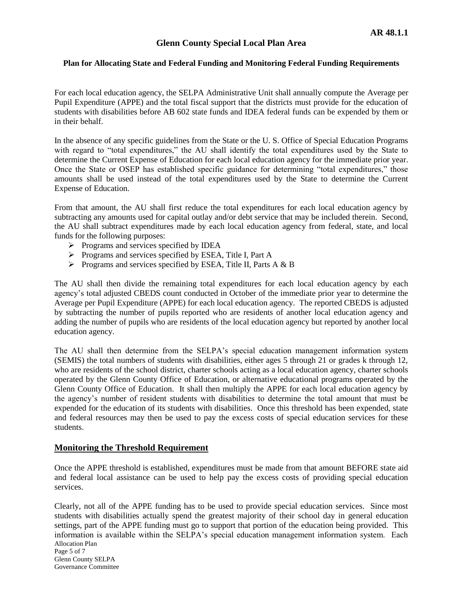For each local education agency, the SELPA Administrative Unit shall annually compute the Average per Pupil Expenditure (APPE) and the total fiscal support that the districts must provide for the education of students with disabilities before AB 602 state funds and IDEA federal funds can be expended by them or in their behalf.

In the absence of any specific guidelines from the State or the U. S. Office of Special Education Programs with regard to "total expenditures," the AU shall identify the total expenditures used by the State to determine the Current Expense of Education for each local education agency for the immediate prior year. Once the State or OSEP has established specific guidance for determining "total expenditures," those amounts shall be used instead of the total expenditures used by the State to determine the Current Expense of Education.

From that amount, the AU shall first reduce the total expenditures for each local education agency by subtracting any amounts used for capital outlay and/or debt service that may be included therein. Second, the AU shall subtract expenditures made by each local education agency from federal, state, and local funds for the following purposes:

- Programs and services specified by IDEA
- Programs and services specified by ESEA, Title I, Part A
- $\triangleright$  Programs and services specified by ESEA, Title II, Parts A & B

The AU shall then divide the remaining total expenditures for each local education agency by each agency's total adjusted CBEDS count conducted in October of the immediate prior year to determine the Average per Pupil Expenditure (APPE) for each local education agency. The reported CBEDS is adjusted by subtracting the number of pupils reported who are residents of another local education agency and adding the number of pupils who are residents of the local education agency but reported by another local education agency.

The AU shall then determine from the SELPA's special education management information system (SEMIS) the total numbers of students with disabilities, either ages 5 through 21 or grades k through 12, who are residents of the school district, charter schools acting as a local education agency, charter schools operated by the Glenn County Office of Education, or alternative educational programs operated by the Glenn County Office of Education. It shall then multiply the APPE for each local education agency by the agency's number of resident students with disabilities to determine the total amount that must be expended for the education of its students with disabilities. Once this threshold has been expended, state and federal resources may then be used to pay the excess costs of special education services for these students.

# **Monitoring the Threshold Requirement**

Once the APPE threshold is established, expenditures must be made from that amount BEFORE state aid and federal local assistance can be used to help pay the excess costs of providing special education services.

Allocation Plan Page 5 of 7 Clearly, not all of the APPE funding has to be used to provide special education services. Since most students with disabilities actually spend the greatest majority of their school day in general education settings, part of the APPE funding must go to support that portion of the education being provided. This information is available within the SELPA's special education management information system. Each

Glenn County SELPA Governance Committee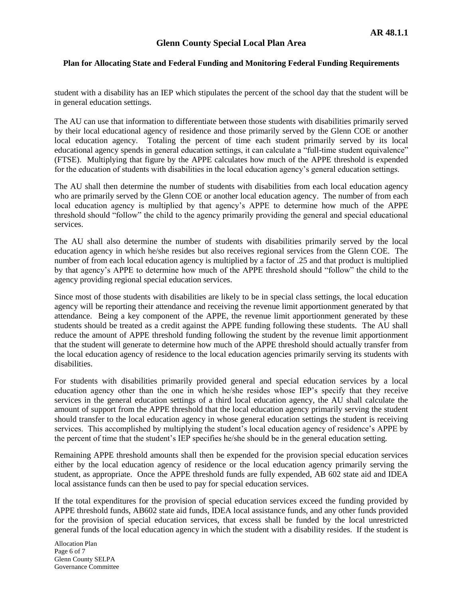student with a disability has an IEP which stipulates the percent of the school day that the student will be in general education settings.

The AU can use that information to differentiate between those students with disabilities primarily served by their local educational agency of residence and those primarily served by the Glenn COE or another local education agency. Totaling the percent of time each student primarily served by its local educational agency spends in general education settings, it can calculate a "full-time student equivalence" (FTSE). Multiplying that figure by the APPE calculates how much of the APPE threshold is expended for the education of students with disabilities in the local education agency's general education settings.

The AU shall then determine the number of students with disabilities from each local education agency who are primarily served by the Glenn COE or another local education agency. The number of from each local education agency is multiplied by that agency's APPE to determine how much of the APPE threshold should "follow" the child to the agency primarily providing the general and special educational services.

The AU shall also determine the number of students with disabilities primarily served by the local education agency in which he/she resides but also receives regional services from the Glenn COE. The number of from each local education agency is multiplied by a factor of .25 and that product is multiplied by that agency's APPE to determine how much of the APPE threshold should "follow" the child to the agency providing regional special education services.

Since most of those students with disabilities are likely to be in special class settings, the local education agency will be reporting their attendance and receiving the revenue limit apportionment generated by that attendance. Being a key component of the APPE, the revenue limit apportionment generated by these students should be treated as a credit against the APPE funding following these students. The AU shall reduce the amount of APPE threshold funding following the student by the revenue limit apportionment that the student will generate to determine how much of the APPE threshold should actually transfer from the local education agency of residence to the local education agencies primarily serving its students with disabilities.

For students with disabilities primarily provided general and special education services by a local education agency other than the one in which he/she resides whose IEP's specify that they receive services in the general education settings of a third local education agency, the AU shall calculate the amount of support from the APPE threshold that the local education agency primarily serving the student should transfer to the local education agency in whose general education settings the student is receiving services. This accomplished by multiplying the student's local education agency of residence's APPE by the percent of time that the student's IEP specifies he/she should be in the general education setting.

Remaining APPE threshold amounts shall then be expended for the provision special education services either by the local education agency of residence or the local education agency primarily serving the student, as appropriate. Once the APPE threshold funds are fully expended, AB 602 state aid and IDEA local assistance funds can then be used to pay for special education services.

If the total expenditures for the provision of special education services exceed the funding provided by APPE threshold funds, AB602 state aid funds, IDEA local assistance funds, and any other funds provided for the provision of special education services, that excess shall be funded by the local unrestricted general funds of the local education agency in which the student with a disability resides. If the student is

Allocation Plan Page 6 of 7 Glenn County SELPA Governance Committee